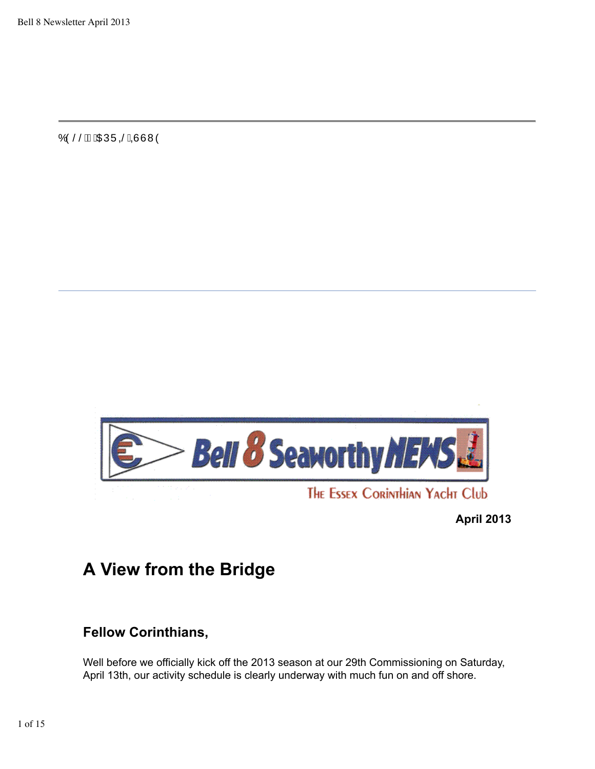Ó Ó ŠŠÁ ÁO EÚ Ú SÁDU V V Ó



**April 2013**

# **A View from the Bridge**

# **Fellow Corinthians,**

Well before we officially kick off the 2013 season at our 29th Commissioning on Saturday, April 13th, our activity schedule is clearly underway with much fun on and off shore.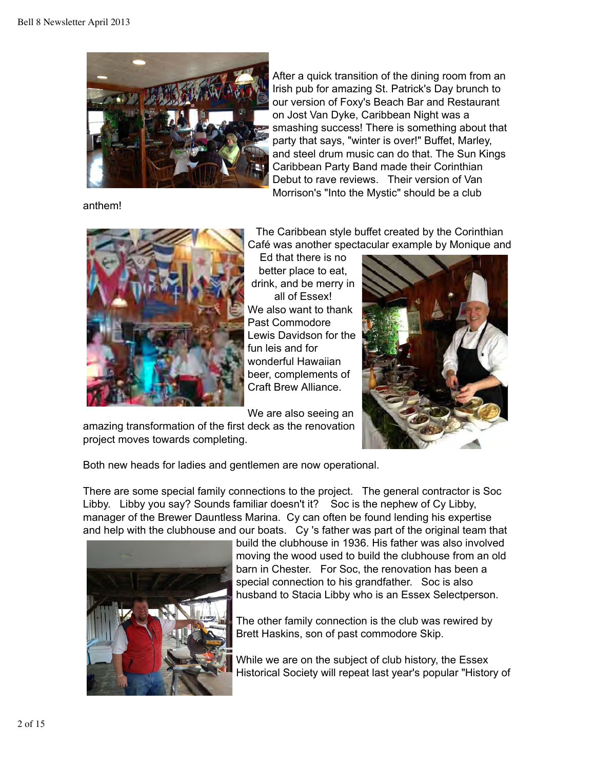

anthem!

After a quick transition of the dining room from an Irish pub for amazing St. Patrick's Day brunch to our version of Foxy's Beach Bar and Restaurant on Jost Van Dyke, Caribbean Night was a smashing success! There is something about that party that says, "winter is over!" Buffet, Marley, and steel drum music can do that. The Sun Kings Caribbean Party Band made their Corinthian Debut to rave reviews. Their version of Van Morrison's "Into the Mystic" should be a club



The Caribbean style buffet created by the Corinthian Café was another spectacular example by Monique and

Ed that there is no better place to eat, drink, and be merry in all of Essex! We also want to thank Past Commodore Lewis Davidson for the fun leis and for wonderful Hawaiian beer, complements of Craft Brew Alliance.

We are also seeing an

amazing transformation of the first deck as the renovation project moves towards completing.



Both new heads for ladies and gentlemen are now operational.

There are some special family connections to the project. The general contractor is Soc Libby. Libby you say? Sounds familiar doesn't it? Soc is the nephew of Cy Libby, manager of the Brewer Dauntless Marina. Cy can often be found lending his expertise and help with the clubhouse and our boats. Cy 's father was part of the original team that



build the clubhouse in 1936. His father was also involved moving the wood used to build the clubhouse from an old barn in Chester. For Soc, the renovation has been a special connection to his grandfather. Soc is also husband to Stacia Libby who is an Essex Selectperson.

The other family connection is the club was rewired by Brett Haskins, son of past commodore Skip.

While we are on the subject of club history, the Essex Historical Society will repeat last year's popular "History of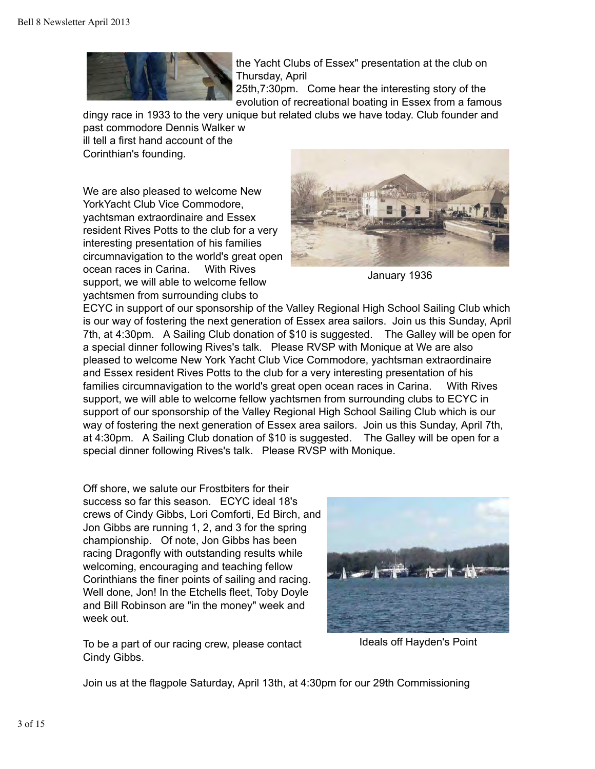

the Yacht Clubs of Essex" presentation at the club on Thursday, April

25th,7:30pm. Come hear the interesting story of the evolution of recreational boating in Essex from a famous

dingy race in 1933 to the very unique but related clubs we have today. Club founder and past commodore Dennis Walker w ill tell a first hand account of the Corinthian's founding.

We are also pleased to welcome New YorkYacht Club Vice Commodore, yachtsman extraordinaire and Essex resident Rives Potts to the club for a very interesting presentation of his families circumnavigation to the world's great open ocean races in Carina. With Rives support, we will able to welcome fellow yachtsmen from surrounding clubs to



January 1936

ECYC in support of our sponsorship of the Valley Regional High School Sailing Club which is our way of fostering the next generation of Essex area sailors. Join us this Sunday, April 7th, at 4:30pm. A Sailing Club donation of \$10 is suggested. The Galley will be open for a special dinner following Rives's talk. Please RVSP with Monique at We are also pleased to welcome New York Yacht Club Vice Commodore, yachtsman extraordinaire and Essex resident Rives Potts to the club for a very interesting presentation of his families circumnavigation to the world's great open ocean races in Carina. With Rives support, we will able to welcome fellow yachtsmen from surrounding clubs to ECYC in support of our sponsorship of the Valley Regional High School Sailing Club which is our way of fostering the next generation of Essex area sailors. Join us this Sunday, April 7th, at 4:30pm. A Sailing Club donation of \$10 is suggested. The Galley will be open for a special dinner following Rives's talk. Please RVSP with Monique.

Off shore, we salute our Frostbiters for their success so far this season. ECYC ideal 18's crews of Cindy Gibbs, Lori Comforti, Ed Birch, and Jon Gibbs are running 1, 2, and 3 for the spring championship. Of note, Jon Gibbs has been racing Dragonfly with outstanding results while welcoming, encouraging and teaching fellow Corinthians the finer points of sailing and racing. Well done, Jon! In the Etchells fleet, Toby Doyle and Bill Robinson are "in the money" week and week out.



Ideals off Hayden's Point

To be a part of our racing crew, please contact Cindy Gibbs.

Join us at the flagpole Saturday, April 13th, at 4:30pm for our 29th Commissioning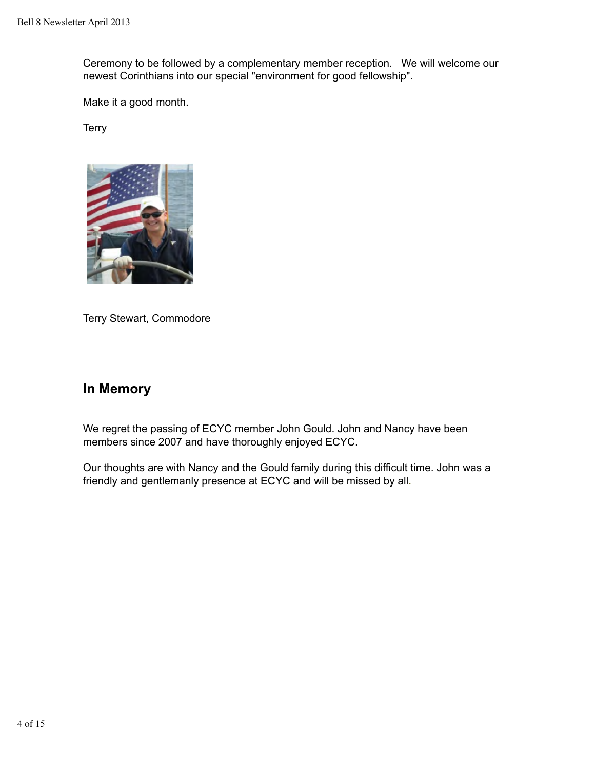Ceremony to be followed by a complementary member reception. We will welcome our newest Corinthians into our special "environment for good fellowship".

Make it a good month.

**Terry** 



Terry Stewart, Commodore

### **In Memory**

We regret the passing of ECYC member John Gould. John and Nancy have been members since 2007 and have thoroughly enjoyed ECYC.

Our thoughts are with Nancy and the Gould family during this difficult time. John was a friendly and gentlemanly presence at ECYC and will be missed by all.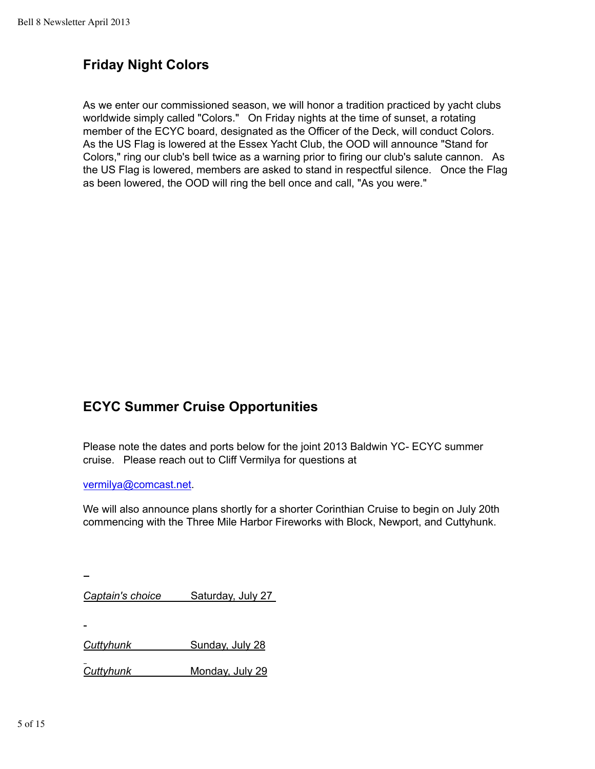# **Friday Night Colors**

As we enter our commissioned season, we will honor a tradition practiced by yacht clubs worldwide simply called "Colors." On Friday nights at the time of sunset, a rotating member of the ECYC board, designated as the Officer of the Deck, will conduct Colors. As the US Flag is lowered at the Essex Yacht Club, the OOD will announce "Stand for Colors," ring our club's bell twice as a warning prior to firing our club's salute cannon. As the US Flag is lowered, members are asked to stand in respectful silence. Once the Flag as been lowered, the OOD will ring the bell once and call, "As you were."

# **ECYC Summer Cruise Opportunities**

Please note the dates and ports below for the joint 2013 Baldwin YC- ECYC summer cruise. Please reach out to Cliff Vermilya for questions at

vermilya@comcast.net.

We will also announce plans shortly for a shorter Corinthian Cruise to begin on July 20th commencing with the Three Mile Harbor Fireworks with Block, Newport, and Cuttyhunk.

*Captain's choice* Saturday, July 27

*Cuttyhunk* Sunday, July 28

*Cuttyhunk* Monday, July 29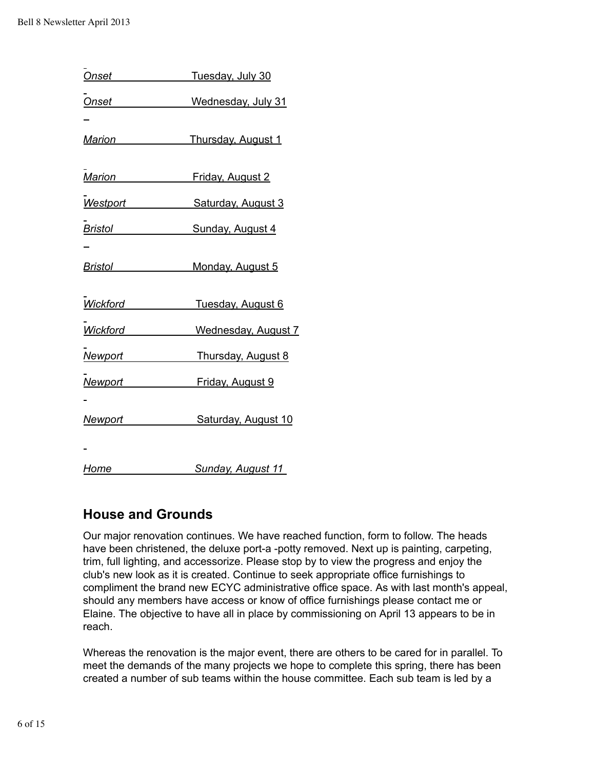| Onset                 | Tuesday, July 30             |
|-----------------------|------------------------------|
| <b>Onset</b>          | Wednesday, July 31           |
|                       |                              |
| Marion                | Thursday, August 1           |
|                       | Marion Friday, August 2      |
|                       |                              |
|                       | Westport Saturday, August 3  |
|                       | Bristol Sunday, August 4     |
|                       |                              |
| Bristol______________ | Monday, August 5             |
|                       | Wickford Tuesday, August 6   |
|                       | Wickford Wednesday, August 7 |
|                       | Newport Thursday, August 8   |
|                       | Newport Friday, August 9     |
|                       |                              |
| <u>Newport</u>        | Saturday, August 10          |
|                       |                              |
| <b>Home</b>           | Sunday, August 11            |

# **House and Grounds**

Our major renovation continues. We have reached function, form to follow. The heads have been christened, the deluxe port-a -potty removed. Next up is painting, carpeting, trim, full lighting, and accessorize. Please stop by to view the progress and enjoy the club's new look as it is created. Continue to seek appropriate office furnishings to compliment the brand new ECYC administrative office space. As with last month's appeal, should any members have access or know of office furnishings please contact me or Elaine. The objective to have all in place by commissioning on April 13 appears to be in reach.

Whereas the renovation is the major event, there are others to be cared for in parallel. To meet the demands of the many projects we hope to complete this spring, there has been created a number of sub teams within the house committee. Each sub team is led by a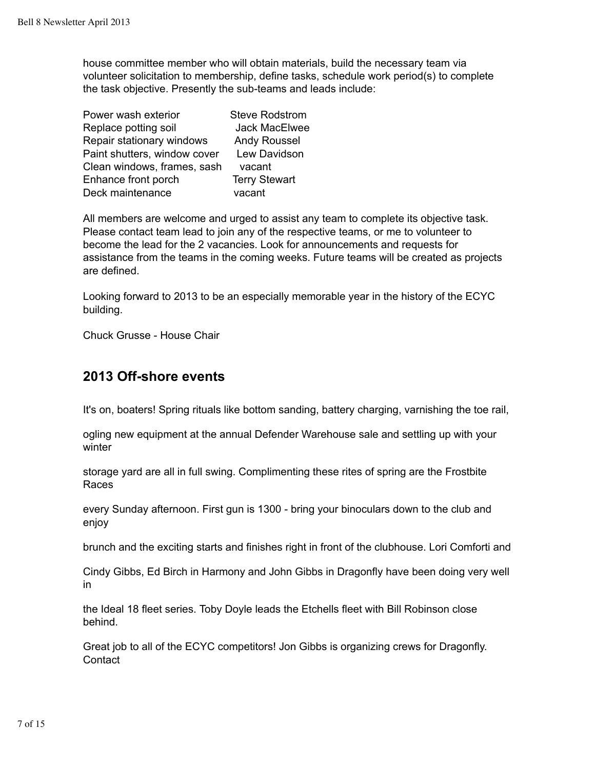house committee member who will obtain materials, build the necessary team via volunteer solicitation to membership, define tasks, schedule work period(s) to complete the task objective. Presently the sub-teams and leads include:

| Power wash exterior          | <b>Steve Rodstrom</b> |
|------------------------------|-----------------------|
| Replace potting soil         | <b>Jack MacElwee</b>  |
| Repair stationary windows    | <b>Andy Roussel</b>   |
| Paint shutters, window cover | Lew Davidson          |
| Clean windows, frames, sash  | vacant                |
| Enhance front porch          | <b>Terry Stewart</b>  |
| Deck maintenance             | vacant                |

All members are welcome and urged to assist any team to complete its objective task. Please contact team lead to join any of the respective teams, or me to volunteer to become the lead for the 2 vacancies. Look for announcements and requests for assistance from the teams in the coming weeks. Future teams will be created as projects are defined.

Looking forward to 2013 to be an especially memorable year in the history of the ECYC building.

Chuck Grusse - House Chair

#### **2013 Off-shore events**

It's on, boaters! Spring rituals like bottom sanding, battery charging, varnishing the toe rail,

ogling new equipment at the annual Defender Warehouse sale and settling up with your winter

storage yard are all in full swing. Complimenting these rites of spring are the Frostbite Races

every Sunday afternoon. First gun is 1300 - bring your binoculars down to the club and enjoy

brunch and the exciting starts and finishes right in front of the clubhouse. Lori Comforti and

Cindy Gibbs, Ed Birch in Harmony and John Gibbs in Dragonfly have been doing very well in

the Ideal 18 fleet series. Toby Doyle leads the Etchells fleet with Bill Robinson close behind.

Great job to all of the ECYC competitors! Jon Gibbs is organizing crews for Dragonfly. **Contact**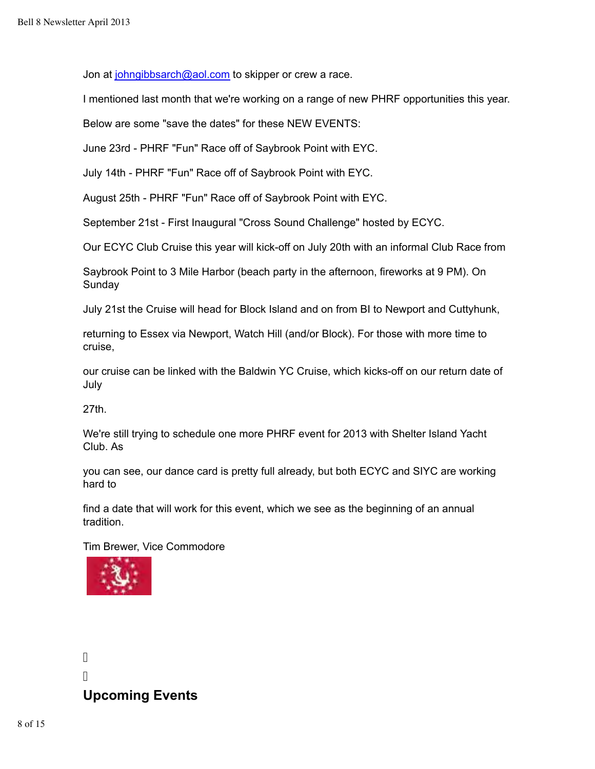Jon at johngibbsarch@aol.com to skipper or crew a race.

I mentioned last month that we're working on a range of new PHRF opportunities this year.

Below are some "save the dates" for these NEW EVENTS:

June 23rd - PHRF "Fun" Race off of Saybrook Point with EYC.

July 14th - PHRF "Fun" Race off of Saybrook Point with EYC.

August 25th - PHRF "Fun" Race off of Saybrook Point with EYC.

September 21st - First Inaugural "Cross Sound Challenge" hosted by ECYC.

Our ECYC Club Cruise this year will kick-off on July 20th with an informal Club Race from

Saybrook Point to 3 Mile Harbor (beach party in the afternoon, fireworks at 9 PM). On Sunday

July 21st the Cruise will head for Block Island and on from BI to Newport and Cuttyhunk,

returning to Essex via Newport, Watch Hill (and/or Block). For those with more time to cruise,

our cruise can be linked with the Baldwin YC Cruise, which kicks-off on our return date of July

27th.

We're still trying to schedule one more PHRF event for 2013 with Shelter Island Yacht Club. As

you can see, our dance card is pretty full already, but both ECYC and SIYC are working hard to

find a date that will work for this event, which we see as the beginning of an annual tradition.

Tim Brewer, Vice Commodore



Ī Ī

# **Upcoming Events**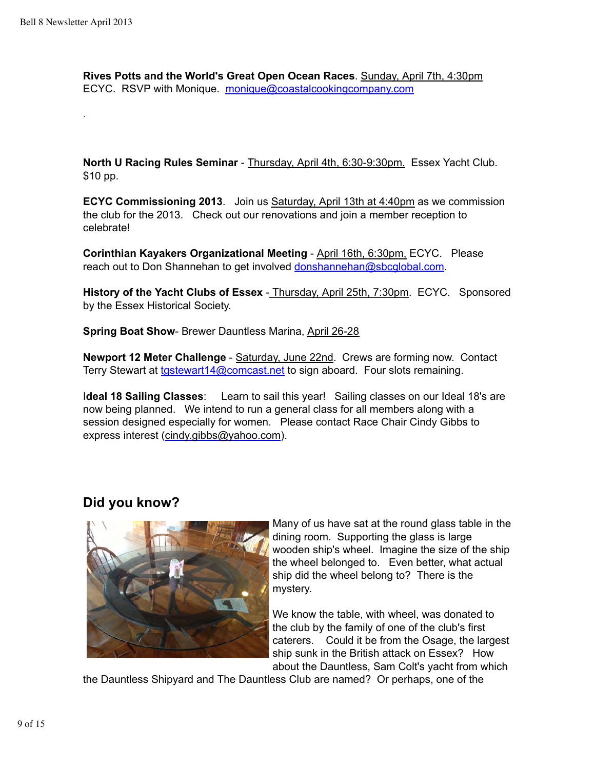.

**Rives Potts and the World's Great Open Ocean Races**. Sunday, April 7th, 4:30pm ECYC. RSVP with Monique. monique@coastalcookingcompany.com

**North U Racing Rules Seminar** - Thursday, April 4th, 6:30-9:30pm. Essex Yacht Club. \$10 pp.

**ECYC Commissioning 2013**. Join us Saturday, April 13th at 4:40pm as we commission the club for the 2013. Check out our renovations and join a member reception to celebrate!

**Corinthian Kayakers Organizational Meeting** - April 16th, 6:30pm, ECYC. Please reach out to Don Shannehan to get involved donshannehan@sbcglobal.com.

**History of the Yacht Clubs of Essex** - Thursday, April 25th, 7:30pm. ECYC. Sponsored by the Essex Historical Society.

**Spring Boat Show- Brewer Dauntless Marina, April 26-28** 

**Newport 12 Meter Challenge** - Saturday, June 22nd. Crews are forming now. Contact Terry Stewart at to tastewart 14@comcast.net to sign aboard. Four slots remaining.

I**deal 18 Sailing Classes**: Learn to sail this year! Sailing classes on our Ideal 18's are now being planned. We intend to run a general class for all members along with a session designed especially for women. Please contact Race Chair Cindy Gibbs to express interest (cindy.gibbs@yahoo.com).

### **Did you know?**



Many of us have sat at the round glass table in the dining room. Supporting the glass is large wooden ship's wheel. Imagine the size of the ship the wheel belonged to. Even better, what actual ship did the wheel belong to? There is the mystery.

We know the table, with wheel, was donated to the club by the family of one of the club's first caterers. Could it be from the Osage, the largest ship sunk in the British attack on Essex? How about the Dauntless, Sam Colt's yacht from which

the Dauntless Shipyard and The Dauntless Club are named? Or perhaps, one of the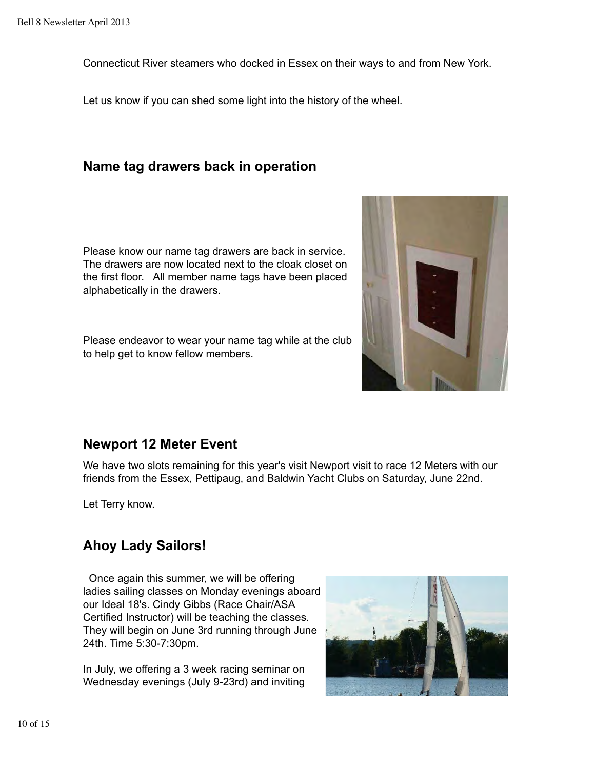Connecticut River steamers who docked in Essex on their ways to and from New York.

Let us know if you can shed some light into the history of the wheel.

#### **Name tag drawers back in operation**

Please know our name tag drawers are back in service. The drawers are now located next to the cloak closet on the first floor. All member name tags have been placed alphabetically in the drawers.

Please endeavor to wear your name tag while at the club to help get to know fellow members.



### **Newport 12 Meter Event**

We have two slots remaining for this year's visit Newport visit to race 12 Meters with our friends from the Essex, Pettipaug, and Baldwin Yacht Clubs on Saturday, June 22nd.

Let Terry know.

# **Ahoy Lady Sailors!**

 Once again this summer, we will be offering ladies sailing classes on Monday evenings aboard our Ideal 18's. Cindy Gibbs (Race Chair/ASA Certified Instructor) will be teaching the classes. They will begin on June 3rd running through June 24th. Time 5:30-7:30pm.

In July, we offering a 3 week racing seminar on Wednesday evenings (July 9-23rd) and inviting

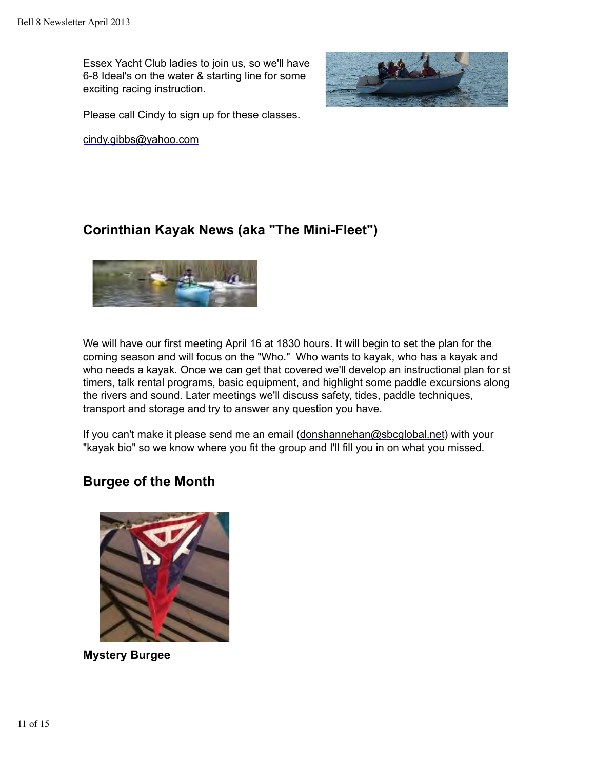Essex Yacht Club ladies to join us, so we'll have 6-8 Ideal's on the water & starting line for some exciting racing instruction.



Please call Cindy to sign up for these classes.

cindy.gibbs@yahoo.com

# **Corinthian Kayak News (aka "The Mini-Fleet")**



We will have our first meeting April 16 at 1830 hours. It will begin to set the plan for the coming season and will focus on the "Who." Who wants to kayak, who has a kayak and who needs a kayak. Once we can get that covered we'll develop an instructional plan for st timers, talk rental programs, basic equipment, and highlight some paddle excursions along the rivers and sound. Later meetings we'll discuss safety, tides, paddle techniques, transport and storage and try to answer any question you have.

If you can't make it please send me an email (donshannehan@sbcglobal.net) with your "kayak bio" so we know where you fit the group and I'll fill you in on what you missed.

# **Burgee of the Month**



**Mystery Burgee**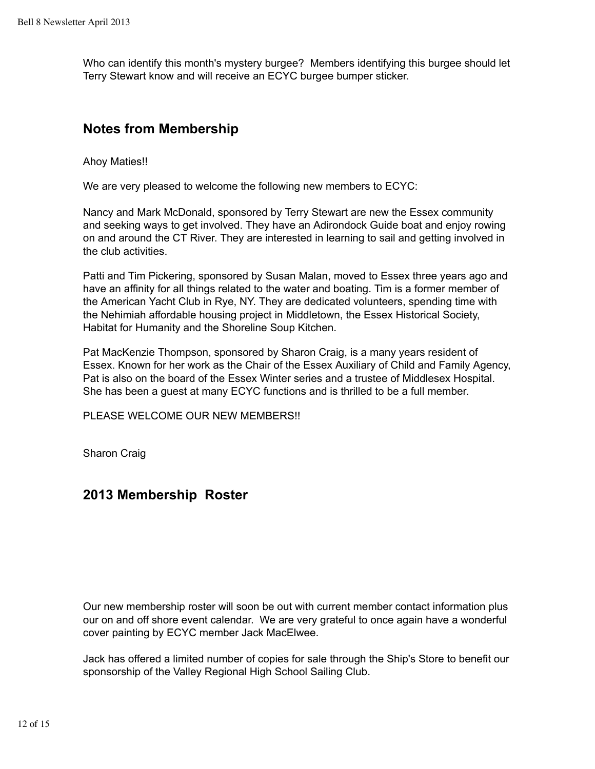Who can identify this month's mystery burgee? Members identifying this burgee should let Terry Stewart know and will receive an ECYC burgee bumper sticker.

#### **Notes from Membership**

Ahoy Maties!!

We are very pleased to welcome the following new members to ECYC:

Nancy and Mark McDonald, sponsored by Terry Stewart are new the Essex community and seeking ways to get involved. They have an Adirondock Guide boat and enjoy rowing on and around the CT River. They are interested in learning to sail and getting involved in the club activities.

Patti and Tim Pickering, sponsored by Susan Malan, moved to Essex three years ago and have an affinity for all things related to the water and boating. Tim is a former member of the American Yacht Club in Rye, NY. They are dedicated volunteers, spending time with the Nehimiah affordable housing project in Middletown, the Essex Historical Society, Habitat for Humanity and the Shoreline Soup Kitchen.

Pat MacKenzie Thompson, sponsored by Sharon Craig, is a many years resident of Essex. Known for her work as the Chair of the Essex Auxiliary of Child and Family Agency, Pat is also on the board of the Essex Winter series and a trustee of Middlesex Hospital. She has been a guest at many ECYC functions and is thrilled to be a full member.

PLEASE WELCOME OUR NEW MEMBERS!!

Sharon Craig

### **2013 Membership Roster**

Our new membership roster will soon be out with current member contact information plus our on and off shore event calendar. We are very grateful to once again have a wonderful cover painting by ECYC member Jack MacElwee.

Jack has offered a limited number of copies for sale through the Ship's Store to benefit our sponsorship of the Valley Regional High School Sailing Club.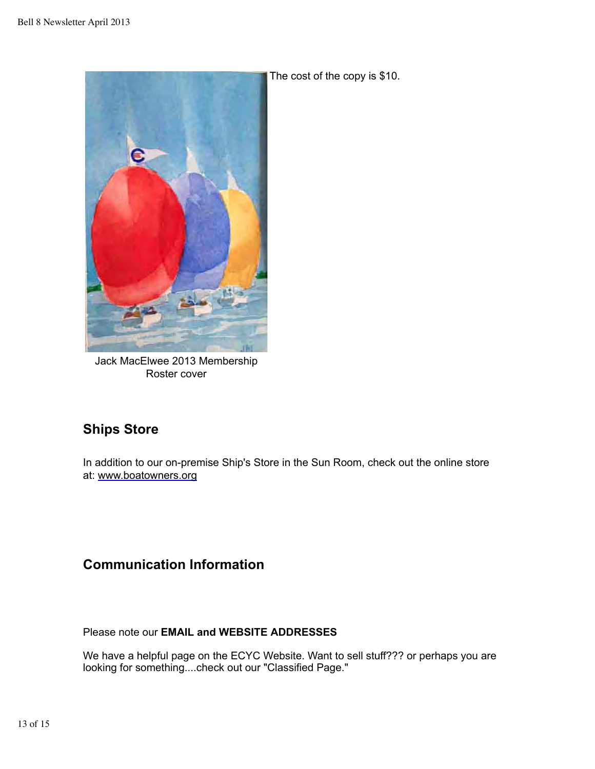

The cost of the copy is \$10.

Jack MacElwee 2013 Membership Roster cover

# **Ships Store**

In addition to our on-premise Ship's Store in the Sun Room, check out the online store at: www.boatowners.org

# **Communication Information**

Please note our **EMAIL and WEBSITE ADDRESSES**

We have a helpful page on the ECYC Website. Want to sell stuff??? or perhaps you are looking for something....check out our "Classified Page."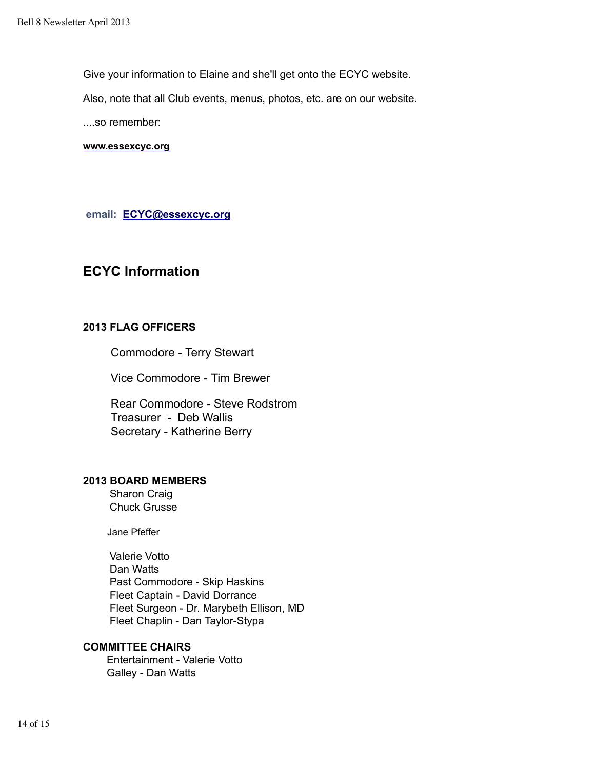Give your information to Elaine and she'll get onto the ECYC website.

Also, note that all Club events, menus, photos, etc. are on our website.

....so remember:

**www.essexcyc.org**

 **email: ECYC@essexcyc.org**

### **ECYC Information**

#### **2013 FLAG OFFICERS**

Commodore - Terry Stewart

Vice Commodore - Tim Brewer

 Rear Commodore - Steve Rodstrom Treasurer - Deb Wallis Secretary - Katherine Berry

#### **2013 BOARD MEMBERS**

 Sharon Craig Chuck Grusse

Jane Pfeffer

 Valerie Votto Dan Watts Past Commodore - Skip Haskins Fleet Captain - David Dorrance Fleet Surgeon - Dr. Marybeth Ellison, MD Fleet Chaplin - Dan Taylor-Stypa

#### **COMMITTEE CHAIRS**

 Entertainment - Valerie Votto Galley - Dan Watts